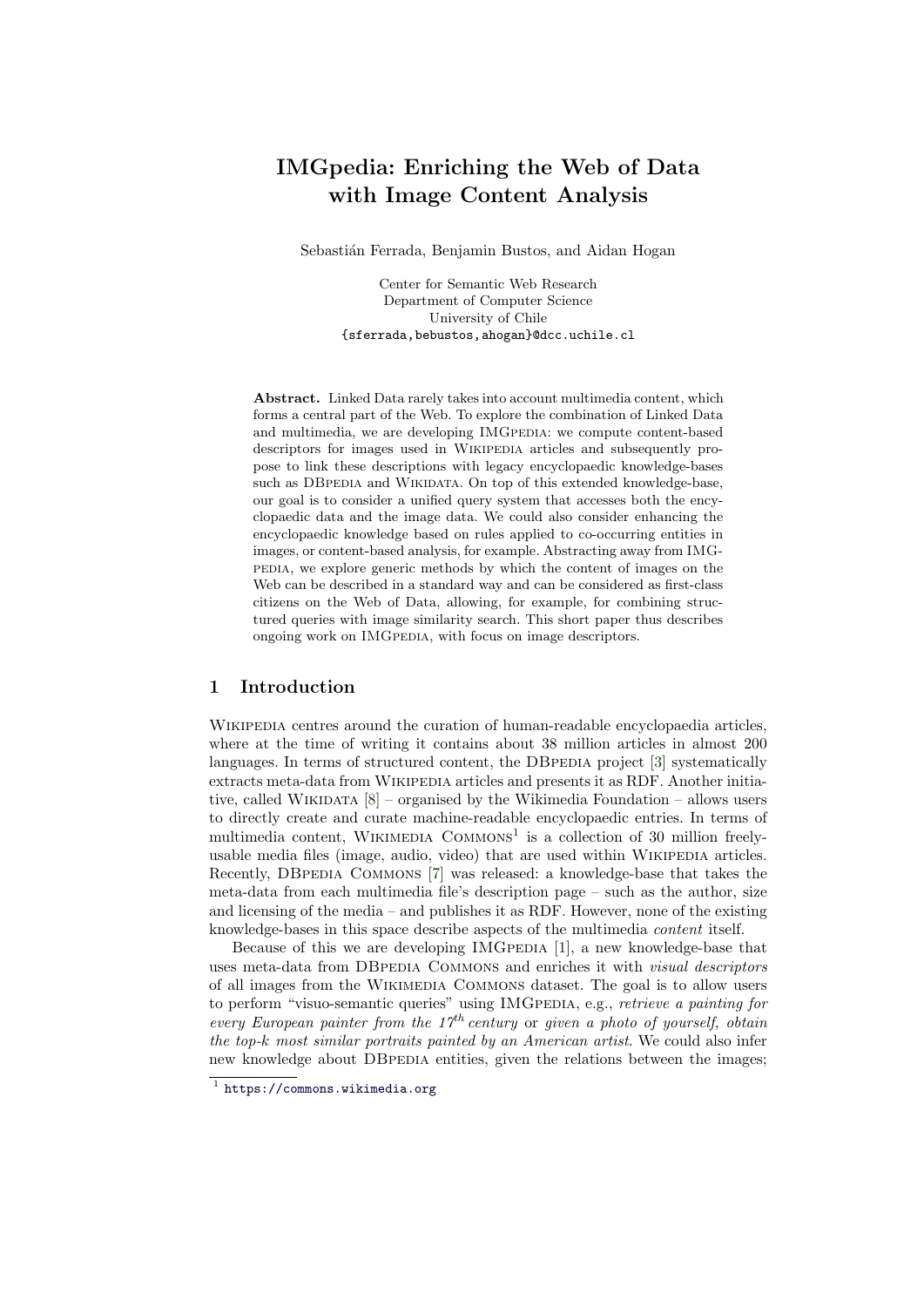# IMGpedia: Enriching the Web of Data with Image Content Analysis

Sebastián Ferrada, Benjamin Bustos, and Aidan Hogan

Center for Semantic Web Research Department of Computer Science University of Chile {sferrada,bebustos,ahogan}@dcc.uchile.cl

Abstract. Linked Data rarely takes into account multimedia content, which forms a central part of the Web. To explore the combination of Linked Data and multimedia, we are developing IMGPEDIA: we compute content-based descriptors for images used in WIKIPEDIA articles and subsequently propose to link these descriptions with legacy encyclopaedic knowledge-bases such as DBPEDIA and WIKIDATA. On top of this extended knowledge-base, our goal is to consider a unified query system that accesses both the encyclopaedic data and the image data. We could also consider enhancing the encyclopaedic knowledge based on rules applied to co-occurring entities in images, or content-based analysis, for example. Abstracting away from IMGpedia, we explore generic methods by which the content of images on the Web can be described in a standard way and can be considered as first-class citizens on the Web of Data, allowing, for example, for combining structured queries with image similarity search. This short paper thus describes ongoing work on IMGPEDIA, with focus on image descriptors.

# 1 Introduction

WIKIPEDIA centres around the curation of human-readable encyclopaedia articles, where at the time of writing it contains about 38 million articles in almost 200 languages. In terms of structured content, the DBPEDIA project [\[3\]](#page-3-0) systematically extracts meta-data from Wikipedia articles and presents it as RDF. Another initiative, called WIKIDATA  $[8]$  – organised by the Wikimedia Foundation – allows users to directly create and curate machine-readable encyclopaedic entries. In terms of multimedia content, WIKIMEDIA COMMONS<sup>[1](#page-0-0)</sup> is a collection of 30 million freelyusable media files (image, audio, video) that are used within WIKIPEDIA articles. Recently, DBPEDIA COMMONS [\[7\]](#page-3-2) was released: a knowledge-base that takes the meta-data from each multimedia file's description page – such as the author, size and licensing of the media – and publishes it as RDF. However, none of the existing knowledge-bases in this space describe aspects of the multimedia content itself.

Because of this we are developing IMGPEDIA  $[1]$ , a new knowledge-base that uses meta-data from DBPEDIA COMMONS and enriches it with *visual descriptors* of all images from the Wikimedia Commons dataset. The goal is to allow users to perform "visuo-semantic queries" using IMGPEDIA, e.g., retrieve a painting for every European painter from the  $17<sup>th</sup>$  century or given a photo of yourself, obtain the top-k most similar portraits painted by an American artist. We could also infer new knowledge about DBPEDIA entities, given the relations between the images;

<span id="page-0-0"></span><sup>1</sup> <https://commons.wikimedia.org>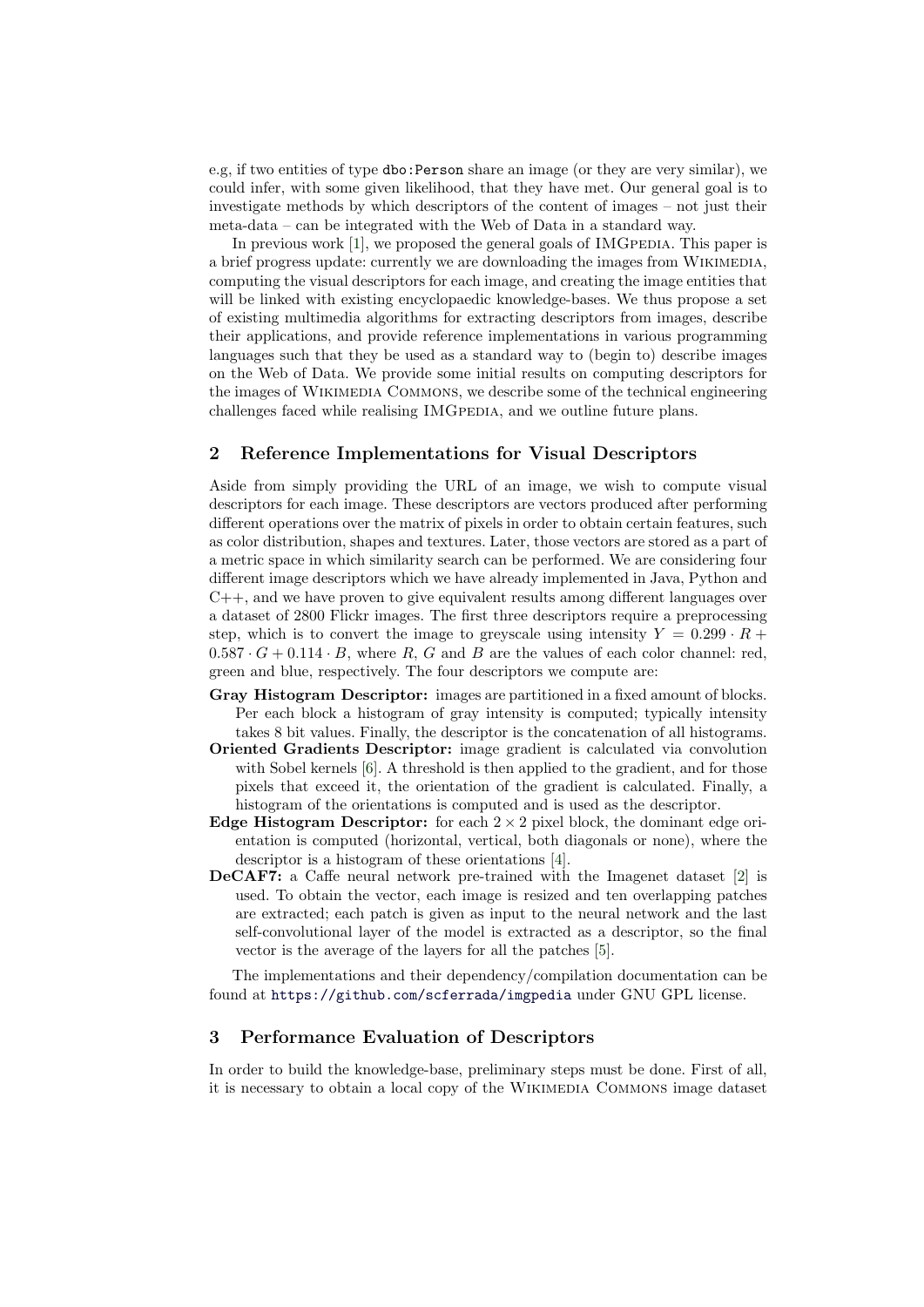e.g, if two entities of type dbo:Person share an image (or they are very similar), we could infer, with some given likelihood, that they have met. Our general goal is to investigate methods by which descriptors of the content of images – not just their meta-data – can be integrated with the Web of Data in a standard way.

In previous work  $[1]$ , we proposed the general goals of IMGPEDIA. This paper is a brief progress update: currently we are downloading the images from WIKIMEDIA, computing the visual descriptors for each image, and creating the image entities that will be linked with existing encyclopaedic knowledge-bases. We thus propose a set of existing multimedia algorithms for extracting descriptors from images, describe their applications, and provide reference implementations in various programming languages such that they be used as a standard way to (begin to) describe images on the Web of Data. We provide some initial results on computing descriptors for the images of Wikimedia Commons, we describe some of the technical engineering challenges faced while realising IMGPEDIA, and we outline future plans.

#### 2 Reference Implementations for Visual Descriptors

Aside from simply providing the URL of an image, we wish to compute visual descriptors for each image. These descriptors are vectors produced after performing different operations over the matrix of pixels in order to obtain certain features, such as color distribution, shapes and textures. Later, those vectors are stored as a part of a metric space in which similarity search can be performed. We are considering four different image descriptors which we have already implemented in Java, Python and  $C_{++}$ , and we have proven to give equivalent results among different languages over a dataset of 2800 Flickr images. The first three descriptors require a preprocessing step, which is to convert the image to greyscale using intensity  $Y = 0.299 \cdot R +$  $0.587 \cdot G + 0.114 \cdot B$ , where R, G and B are the values of each color channel: red, green and blue, respectively. The four descriptors we compute are:

- Gray Histogram Descriptor: images are partitioned in a fixed amount of blocks. Per each block a histogram of gray intensity is computed; typically intensity takes 8 bit values. Finally, the descriptor is the concatenation of all histograms.
- Oriented Gradients Descriptor: image gradient is calculated via convolution with Sobel kernels [\[6\]](#page-3-4). A threshold is then applied to the gradient, and for those pixels that exceed it, the orientation of the gradient is calculated. Finally, a histogram of the orientations is computed and is used as the descriptor.
- Edge Histogram Descriptor: for each  $2 \times 2$  pixel block, the dominant edge orientation is computed (horizontal, vertical, both diagonals or none), where the descriptor is a histogram of these orientations [\[4\]](#page-3-5).
- DeCAF7: a Caffe neural network pre-trained with the Imagenet dataset [\[2\]](#page-3-6) is used. To obtain the vector, each image is resized and ten overlapping patches are extracted; each patch is given as input to the neural network and the last self-convolutional layer of the model is extracted as a descriptor, so the final vector is the average of the layers for all the patches [\[5\]](#page-3-7).

The implementations and their dependency/compilation documentation can be found at <https://github.com/scferrada/imgpedia> under GNU GPL license.

# 3 Performance Evaluation of Descriptors

In order to build the knowledge-base, preliminary steps must be done. First of all, it is necessary to obtain a local copy of the Wikimedia Commons image dataset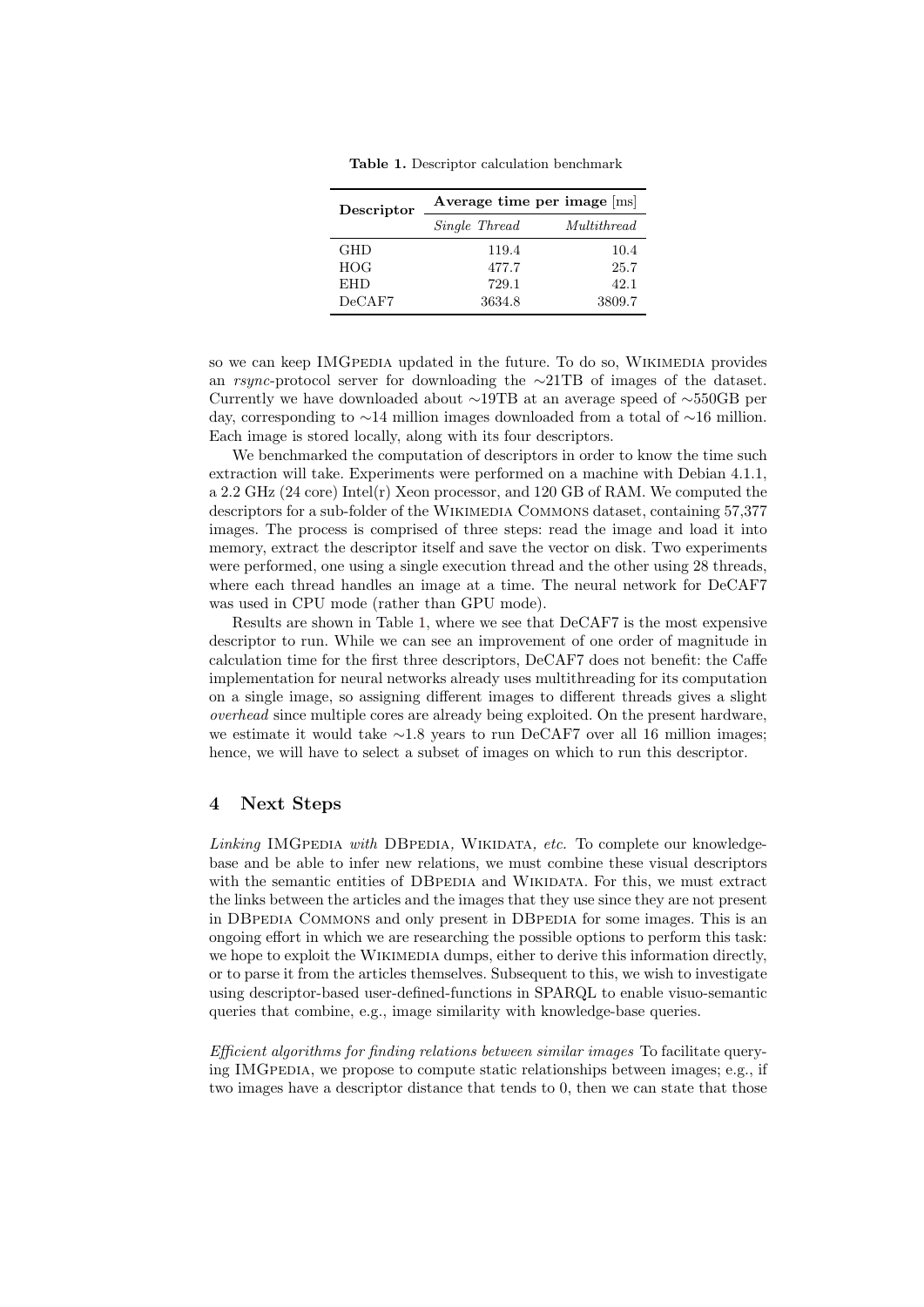| Descriptor | Average time per image  ms |             |
|------------|----------------------------|-------------|
|            | Single Thread              | Multithread |
| <b>GHD</b> | 119.4                      | 10.4        |
| <b>HOG</b> | 477.7                      | 25.7        |
| <b>EHD</b> | 729.1                      | 42.1        |
| DeCAF7     | 3634.8                     | 3809.7      |

<span id="page-2-0"></span>Table 1. Descriptor calculation benchmark

so we can keep IMGPEDIA updated in the future. To do so, WIKIMEDIA provides an rsync-protocol server for downloading the ∼21TB of images of the dataset. Currently we have downloaded about ∼19TB at an average speed of ∼550GB per day, corresponding to ∼14 million images downloaded from a total of ∼16 million. Each image is stored locally, along with its four descriptors.

We benchmarked the computation of descriptors in order to know the time such extraction will take. Experiments were performed on a machine with Debian 4.1.1, a 2.2 GHz (24 core) Intel(r) Xeon processor, and 120 GB of RAM. We computed the descriptors for a sub-folder of the Wikimedia Commons dataset, containing 57,377 images. The process is comprised of three steps: read the image and load it into memory, extract the descriptor itself and save the vector on disk. Two experiments were performed, one using a single execution thread and the other using 28 threads, where each thread handles an image at a time. The neural network for DeCAF7 was used in CPU mode (rather than GPU mode).

Results are shown in Table [1,](#page-2-0) where we see that DeCAF7 is the most expensive descriptor to run. While we can see an improvement of one order of magnitude in calculation time for the first three descriptors, DeCAF7 does not benefit: the Caffe implementation for neural networks already uses multithreading for its computation on a single image, so assigning different images to different threads gives a slight overhead since multiple cores are already being exploited. On the present hardware, we estimate it would take ∼1.8 years to run DeCAF7 over all 16 million images; hence, we will have to select a subset of images on which to run this descriptor.

### 4 Next Steps

 $Linking$  IMGPEDIA with DBPEDIA, WIKIDATA, etc. To complete our knowledgebase and be able to infer new relations, we must combine these visual descriptors with the semantic entities of DBPEDIA and WIKIDATA. For this, we must extract the links between the articles and the images that they use since they are not present in DBPEDIA COMMONS and only present in DBPEDIA for some images. This is an ongoing effort in which we are researching the possible options to perform this task: we hope to exploit the WIKIMEDIA dumps, either to derive this information directly, or to parse it from the articles themselves. Subsequent to this, we wish to investigate using descriptor-based user-defined-functions in SPARQL to enable visuo-semantic queries that combine, e.g., image similarity with knowledge-base queries.

Efficient algorithms for finding relations between similar images To facilitate querying IMGPEDIA, we propose to compute static relationships between images; e.g., if two images have a descriptor distance that tends to 0, then we can state that those